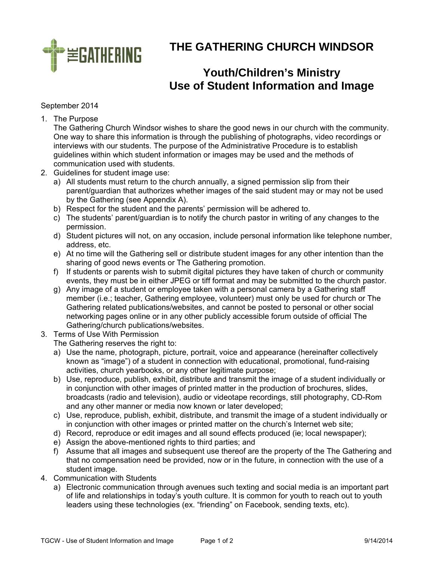

**THE GATHERING CHURCH WINDSOR** 

## **Youth/Children's Ministry Use of Student Information and Image**

## September 2014

1. The Purpose

The Gathering Church Windsor wishes to share the good news in our church with the community. One way to share this information is through the publishing of photographs, video recordings or interviews with our students. The purpose of the Administrative Procedure is to establish guidelines within which student information or images may be used and the methods of communication used with students.

- 2. Guidelines for student image use:
	- a) All students must return to the church annually, a signed permission slip from their parent/guardian that authorizes whether images of the said student may or may not be used by the Gathering (see Appendix A).
	- b) Respect for the student and the parents' permission will be adhered to.
	- c) The students' parent/guardian is to notify the church pastor in writing of any changes to the permission.
	- d) Student pictures will not, on any occasion, include personal information like telephone number, address, etc.
	- e) At no time will the Gathering sell or distribute student images for any other intention than the sharing of good news events or The Gathering promotion.
	- f) If students or parents wish to submit digital pictures they have taken of church or community events, they must be in either JPEG or tiff format and may be submitted to the church pastor.
	- g) Any image of a student or employee taken with a personal camera by a Gathering staff member (i.e.; teacher, Gathering employee, volunteer) must only be used for church or The Gathering related publications/websites, and cannot be posted to personal or other social networking pages online or in any other publicly accessible forum outside of official The Gathering/church publications/websites.
- 3. Terms of Use With Permission

The Gathering reserves the right to:

- a) Use the name, photograph, picture, portrait, voice and appearance (hereinafter collectively known as "image") of a student in connection with educational, promotional, fund-raising activities, church yearbooks, or any other legitimate purpose;
- b) Use, reproduce, publish, exhibit, distribute and transmit the image of a student individually or in conjunction with other images of printed matter in the production of brochures, slides, broadcasts (radio and television), audio or videotape recordings, still photography, CD-Rom and any other manner or media now known or later developed;
- c) Use, reproduce, publish, exhibit, distribute, and transmit the image of a student individually or in conjunction with other images or printed matter on the church's Internet web site;
- d) Record, reproduce or edit images and all sound effects produced (ie; local newspaper);
- e) Assign the above-mentioned rights to third parties; and
- f) Assume that all images and subsequent use thereof are the property of the The Gathering and that no compensation need be provided, now or in the future, in connection with the use of a student image.
- 4. Communication with Students
	- a) Electronic communication through avenues such texting and social media is an important part of life and relationships in today's youth culture. It is common for youth to reach out to youth leaders using these technologies (ex. "friending" on Facebook, sending texts, etc).